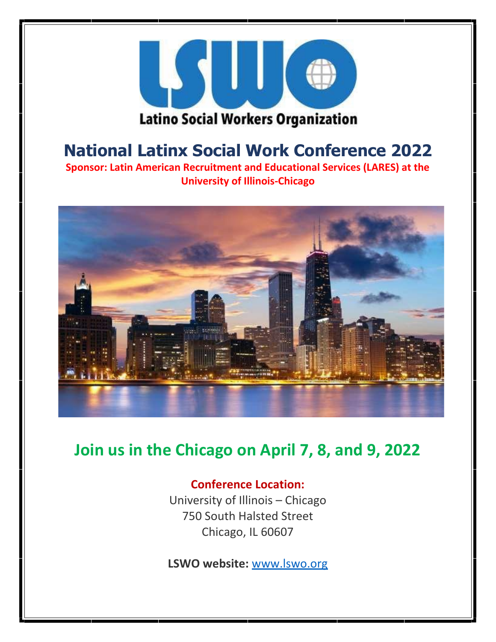

# **National Latinx Social Work Conference 2022**

**Sponsor: Latin American Recruitment and Educational Services (LARES) at the University of Illinois-Chicago**



## **Join us in the Chicago on April 7, 8, and 9, 2022**

### **Conference Location:**

University of Illinois – Chicago 750 South Halsted Street Chicago, IL 60607

**LSWO website:** [www.lswo.org](http://www.lswo.org/)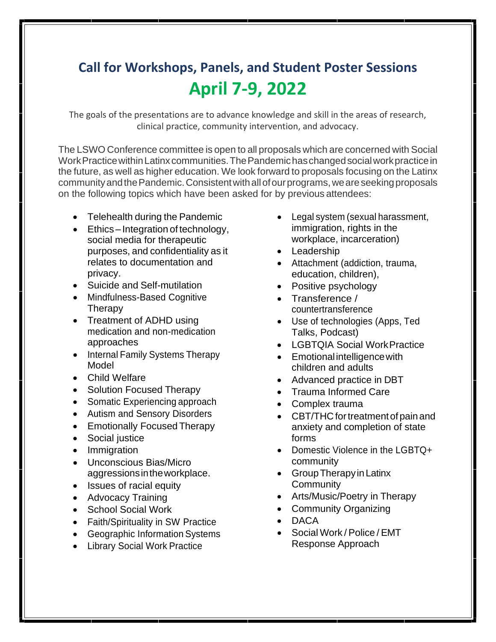# **Call for Workshops, Panels, and Student Poster Sessions April 7-9, 2022**

The goals of the presentations are to advance knowledge and skill in the areas of research, clinical practice, community intervention, and advocacy.

The LSWO Conference committee is open to all proposals which are concerned with Social Work Practice within Latinx communities. The Pandemic has changed social work practice in the future, as well as higher education. We look forward to proposals focusing on the Latinx community and the Pandemic. Consistent with all of our programs, we are seeking proposals on the following topics which have been asked for by previous attendees:

- Telehealth during the Pandemic
- Ethics Integration of technology, social media for therapeutic purposes, and confidentiality as it relates to documentation and privacy.
- Suicide and Self-mutilation
- Mindfulness-Based Cognitive Therapy
- Treatment of ADHD using medication and non-medication approaches
- Internal Family Systems Therapy Model
- Child Welfare
- Solution Focused Therapy
- Somatic Experiencing approach
- Autism and Sensory Disorders
- Emotionally Focused Therapy
- Social justice
- Immigration
- Unconscious Bias/Micro aggressionsintheworkplace.
- Issues of racial equity
- Advocacy Training
- School Social Work
- Faith/Spirituality in SW Practice
- Geographic Information Systems
- Library Social Work Practice
- Legal system (sexual harassment, immigration, rights in the workplace, incarceration)
- Leadership
- Attachment (addiction, trauma, education, children),
- Positive psychology
- Transference / countertransference
- Use of technologies (Apps, Ted Talks, Podcast)
- LGBTQIA Social WorkPractice
- Emotional intelligencewith children and adults
- Advanced practice in DBT
- Trauma Informed Care
- Complex trauma
- CBT/THC for treatment of pain and anxiety and completion of state forms
- Domestic Violence in the LGBTQ+ community
- Group Therapy in Latinx **Community**
- Arts/Music/Poetry in Therapy
- Community Organizing
- DACA
- Social Work / Police / EMT Response Approach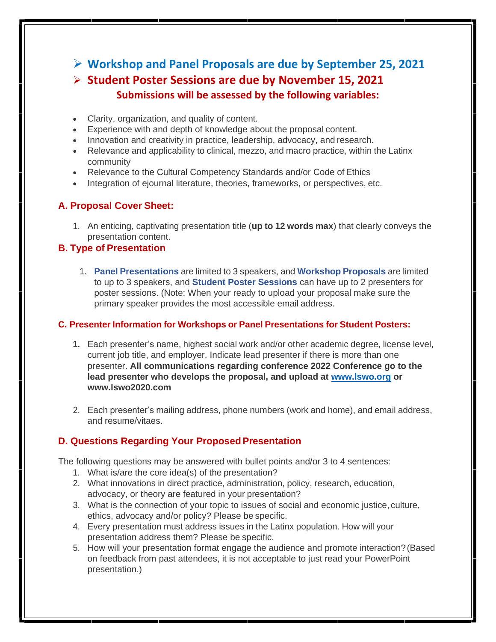➢ **Workshop and Panel Proposals are due by September 25, 2021** ➢ **Student Poster Sessions are due by November 15, 2021 Submissions will be assessed by the following variables:**

- Clarity, organization, and quality of content.
- Experience with and depth of knowledge about the proposal content.
- Innovation and creativity in practice, leadership, advocacy, and research.
- Relevance and applicability to clinical, mezzo, and macro practice, within the Latinx community
- Relevance to the Cultural Competency Standards and/or Code of Ethics
- Integration of ejournal literature, theories, frameworks, or perspectives, etc.

#### **A. Proposal Cover Sheet:**

1. An enticing, captivating presentation title (**up to 12 words max**) that clearly conveys the presentation content.

#### **B. Type of Presentation**

1. **Panel Presentations** are limited to 3 speakers, and **Workshop Proposals** are limited to up to 3 speakers, and **Student Poster Sessions** can have up to 2 presenters for poster sessions. (Note: When your ready to upload your proposal make sure the primary speaker provides the most accessible email address.

#### **C. Presenter Information for Workshops or Panel Presentations for Student Posters:**

- **1.** Each presenter's name, highest social work and/or other academic degree, license level, current job title, and employer. Indicate lead presenter if there is more than one presenter. **All communications regarding conference 2022 Conference go to the lead presenter who develops the proposal, and upload at [www.lswo.org](http://www.lswo.org/) o[r](http://www.lswo2020.com/) [www.lswo2020.com](http://www.lswo2020.com/)**
- 2. Each presenter's mailing address, phone numbers (work and home), and email address, and resume/vitaes.

#### **D. Questions Regarding Your ProposedPresentation**

The following questions may be answered with bullet points and/or 3 to 4 sentences:

- 1. What is/are the core idea(s) of the presentation?
- 2. What innovations in direct practice, administration, policy, research, education, advocacy, or theory are featured in your presentation?
- 3. What is the connection of your topic to issues of social and economic justice, culture, ethics, advocacy and/or policy? Please be specific.
- 4. Every presentation must address issues in the Latinx population. How will your presentation address them? Please be specific.
- 5. How will your presentation format engage the audience and promote interaction?(Based on feedback from past attendees, it is not acceptable to just read your PowerPoint presentation.)